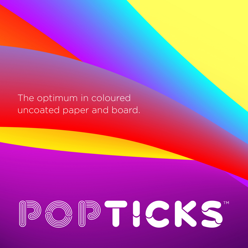The optimum in coloured uncoated paper and board.

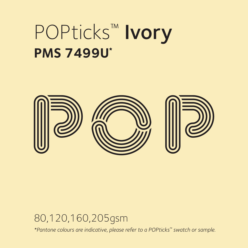# POPticks™ Ivory **PMS 7499U\***



#### 80,120,160,205gsm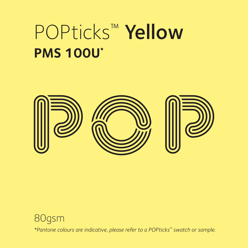# POPticks™ Yellow **PMS 100U\***



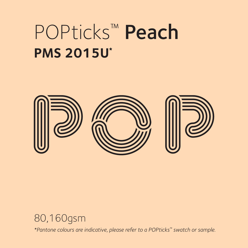# POPticks™ Peach **PMS 2015U\***



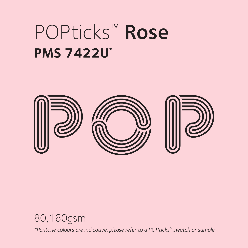## POPticks™ Rose **PMS 7422U\***



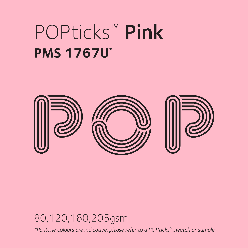# POPticks™ Pink **PMS 1767U\***



#### 80,120,160,205gsm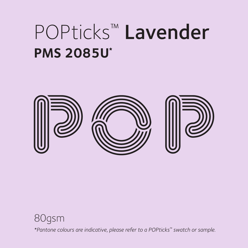# POPticks™ Lavender **PMS 2085U\***



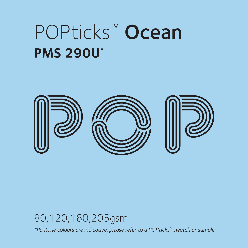#### POPticks™ Ocean **PMS 290U\***



#### 80,120,160,205gsm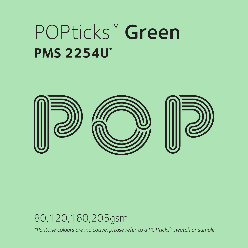#### POPticks™ Green **PMS 2254U\***



#### 80,120,160,205gsm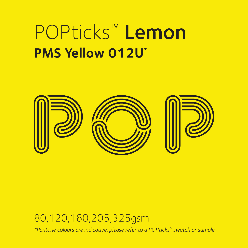### POPticks™ Lemon **PMS Yellow 012U\***



#### 80,120,160,205,325gsm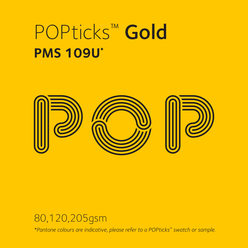# POPticks™ Gold **PMS 109U\***



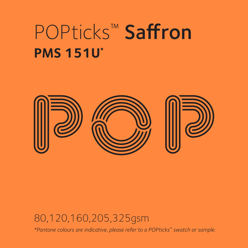# POPticks™ Saffron **PMS 151U\***



#### 80,120,160,205,325gsm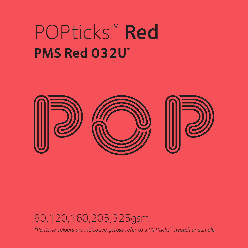### POPticks™ Red **PMS Red 032U\***



#### 80,120,160,205,325gsm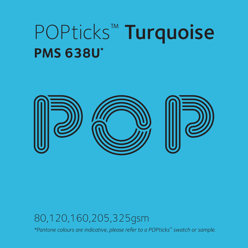# POPticks™ Turquoise **PMS 638U\***



#### 80,120,160,205,325gsm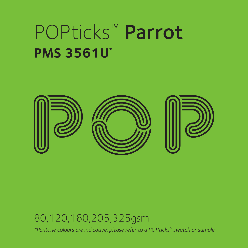# POPticks™ Parrot **PMS 3561U\***



#### 80,120,160,205,325gsm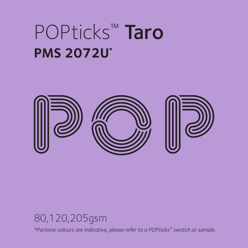# POPticks™ Taro **PMS 2072U\***



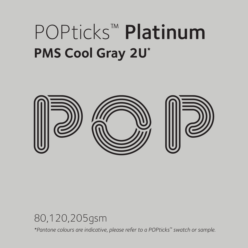# POPticks™ Platinum **PMS Cool Gray 2U\***